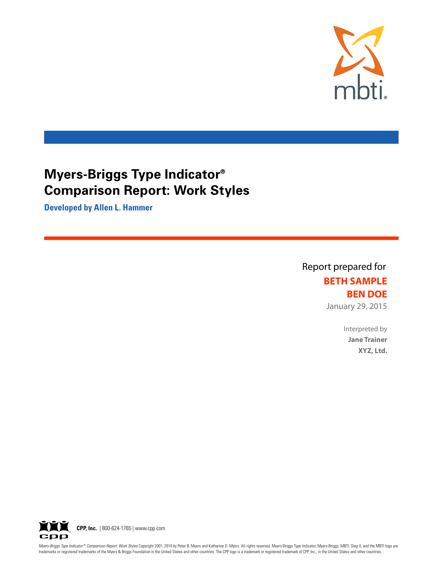

**Developed by Allen L. Hammer**

Report prepared for **BETH SAMPLE BEN DOE** January 29, 2015

> Interpreted by **Jane Trainer XYZ, Ltd.**



Myers-Briggs Type Indicator® Comparison Report: Work Styles Copyright 2001, 2014 by Peter B. Myers and Katharine D. Myers. All rights reserved. Myers-Briggs Type Indicator, Myers-Briggs, MBTI, Step II, and the MBTI logo ar trademarks or registered trademarks of the Myers & Briggs Foundation in the United States and other countries. The CPP logo is a trademark or registered trademark of CPP, Inc., in the United States and other countries.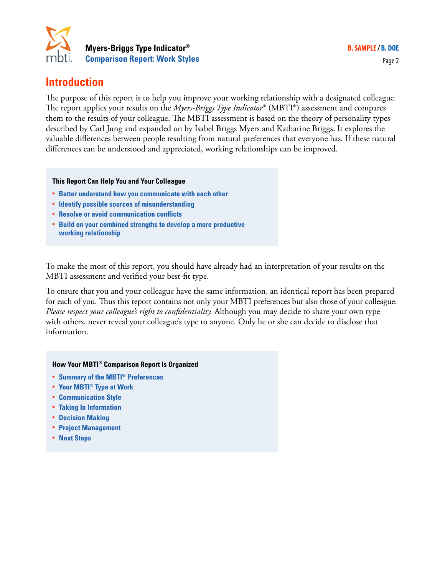

## **Introduction**

The purpose of this report is to help you improve your working relationship with a designated colleague. The report applies your results on the *Myers-Briggs Type Indicator*® (MBTI®) assessment and compares them to the results of your colleague. The MBTI assessment is based on the theory of personality types described by Carl Jung and expanded on by Isabel Briggs Myers and Katharine Briggs. It explores the valuable differences between people resulting from natural preferences that everyone has. If these natural differences can be understood and appreciated, working relationships can be improved.

#### **This Report Can Help You and Your Colleague**

- **• Better understand how you communicate with each other**
- **• Identify possible sources of misunderstanding**
- **• Resolve or avoid communication conflicts**
- **• Build on your combined strengths to develop a more productive working relationship**

To make the most of this report, you should have already had an interpretation of your results on the MBTI assessment and verified your best-fit type.

To ensure that you and your colleague have the same information, an identical report has been prepared for each of you. Thus this report contains not only your MBTI preferences but also those of your colleague. *Please respect your colleague's right to confidentiality.* Although you may decide to share your own type with others, never reveal your colleague's type to anyone. Only he or she can decide to disclose that information.

#### **How Your MBTI® Comparison Report Is Organized**

- **• Summary of the MBTI® Preferences**
- **• Your MBTI® Type at Work**
- **• Communication Style**
- **• Taking In Information**
- **• Decision Making**
- **• Project Management**
- **• Next Steps**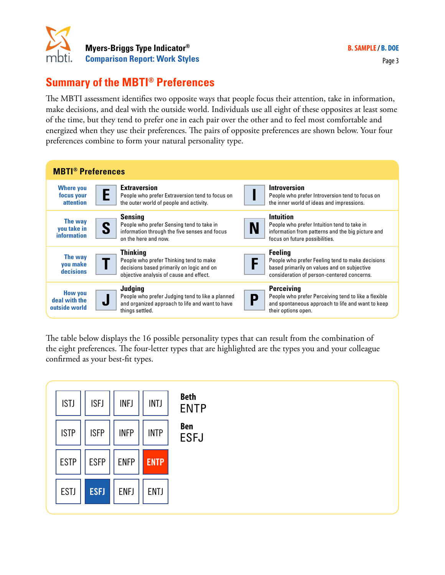

## **Summary of the MBTI® Preferences**

The MBTI assessment identifies two opposite ways that people focus their attention, take in information, make decisions, and deal with the outside world. Individuals use all eight of these opposites at least some of the time, but they tend to prefer one in each pair over the other and to feel most comfortable and energized when they use their preferences. The pairs of opposite preferences are shown below. Your four preferences combine to form your natural personality type.

| <b>MBTI<sup>®</sup></b> Preferences              |                                                                                                                                                    |                                                                                                                                                                 |  |
|--------------------------------------------------|----------------------------------------------------------------------------------------------------------------------------------------------------|-----------------------------------------------------------------------------------------------------------------------------------------------------------------|--|
| <b>Where you</b><br>focus your<br>attention      | <b>Extraversion</b><br>People who prefer Extraversion tend to focus on<br>the outer world of people and activity.                                  | <b>Introversion</b><br>People who prefer Introversion tend to focus on<br>the inner world of ideas and impressions.                                             |  |
| The way<br>you take in<br>information            | <b>Sensing</b><br>People who prefer Sensing tend to take in<br>S<br>information through the five senses and focus<br>on the here and now.          | <b>Intuition</b><br>People who prefer Intuition tend to take in<br>N<br>information from patterns and the big picture and<br>focus on future possibilities.     |  |
| The way<br>you make<br>decisions                 | <b>Thinking</b><br>People who prefer Thinking tend to make<br>decisions based primarily on logic and on<br>objective analysis of cause and effect. | <b>Feeling</b><br>People who prefer Feeling tend to make decisions<br>based primarily on values and on subjective<br>consideration of person-centered concerns. |  |
| <b>How you</b><br>deal with the<br>outside world | Judging<br>People who prefer Judging tend to like a planned<br>J<br>and organized approach to life and want to have<br>things settled.             | <b>Perceiving</b><br>People who prefer Perceiving tend to like a flexible<br>D<br>and spontaneous approach to life and want to keep<br>their options open.      |  |

The table below displays the 16 possible personality types that can result from the combination of the eight preferences. The four-letter types that are highlighted are the types you and your colleague confirmed as your best-fit types.

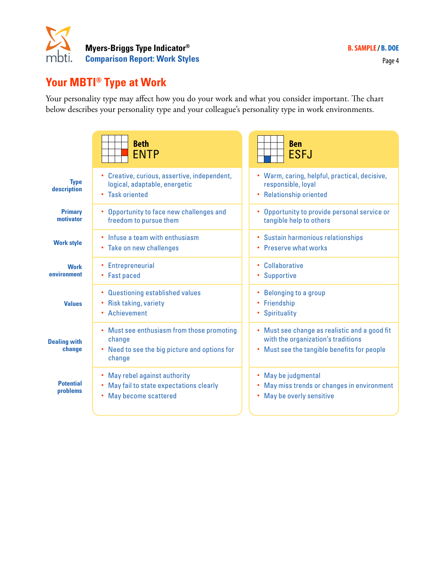

## **Your MBTI® Type at Work**

Your personality type may affect how you do your work and what you consider important. The chart below describes your personality type and your colleague's personality type in work environments.

|                               | <b>Beth</b><br><b>ENTP</b>                                                                                                           | <b>Ben</b><br><b>ESFJ</b>                                                                                                             |
|-------------------------------|--------------------------------------------------------------------------------------------------------------------------------------|---------------------------------------------------------------------------------------------------------------------------------------|
| <b>Type</b><br>description    | • Creative, curious, assertive, independent,<br>logical, adaptable, energetic<br>• Task oriented                                     | Warm, caring, helpful, practical, decisive,<br>٠<br>responsible, loyal<br><b>Relationship oriented</b>                                |
| <b>Primary</b><br>motivator   | Opportunity to face new challenges and<br>$\bullet$<br>freedom to pursue them                                                        | Opportunity to provide personal service or<br>$\bullet$<br>tangible help to others                                                    |
| <b>Work style</b>             | Infuse a team with enthusiasm<br>• Take on new challenges                                                                            | • Sustain harmonious relationships<br>• Preserve what works                                                                           |
| <b>Work</b><br>environment    | <b>Entrepreneurial</b><br><b>Fast paced</b><br>$\bullet$                                                                             | Collaborative<br>٠<br>Supportive<br>٠                                                                                                 |
| <b>Values</b>                 | <b>Questioning established values</b><br>$\bullet$<br>Risk taking, variety<br>$\bullet$<br>Achievement<br>$\bullet$                  | Belonging to a group<br>٠<br>Friendship<br>٠<br>Spirituality<br>٠                                                                     |
| <b>Dealing with</b><br>change | • Must see enthusiasm from those promoting<br>change<br>Need to see the big picture and options for<br>٠<br>change                   | • Must see change as realistic and a good fit<br>with the organization's traditions<br>Must see the tangible benefits for people<br>٠ |
| <b>Potential</b><br>problems  | May rebel against authority<br>$\bullet$<br>May fail to state expectations clearly<br>$\bullet$<br>May become scattered<br>$\bullet$ | May be judgmental<br>٠<br>May miss trends or changes in environment<br>٠<br>May be overly sensitive<br>٠                              |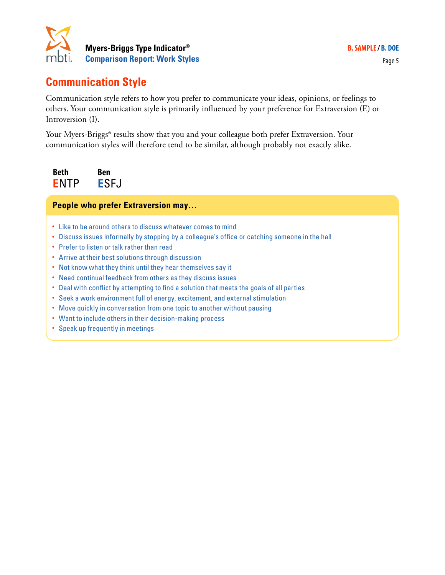

## **Communication Style**

Communication style refers to how you prefer to communicate your ideas, opinions, or feelings to others. Your communication style is primarily influenced by your preference for Extraversion (E) or Introversion (I).

Your Myers-Briggs® results show that you and your colleague both prefer Extraversion. Your communication styles will therefore tend to be similar, although probably not exactly alike.

**Beth E**NTP **Ben E**SFJ

### **People who prefer Extraversion may…**

- Like to be around others to discuss whatever comes to mind
- Discuss issues informally by stopping by a colleague's office or catching someone in the hall
- Prefer to listen or talk rather than read
- Arrive at their best solutions through discussion
- Not know what they think until they hear themselves say it
- Need continual feedback from others as they discuss issues
- Deal with conflict by attempting to find a solution that meets the goals of all parties
- Seek a work environment full of energy, excitement, and external stimulation
- Move quickly in conversation from one topic to another without pausing
- Want to include others in their decision-making process
- Speak up frequently in meetings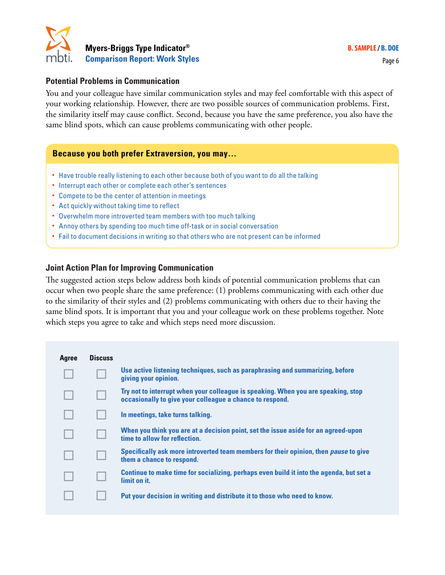

#### **Potential Problems in Communication**

You and your colleague have similar communication styles and may feel comfortable with this aspect of your working relationship. However, there are two possible sources of communication problems. First, the similarity itself may cause conflict. Second, because you have the same preference, you also have the same blind spots, which can cause problems communicating with other people.

#### **Because you both prefer Extraversion, you may…**

- Have trouble really listening to each other because both of you want to do all the talking
- Interrupt each other or complete each other's sentences
- Compete to be the center of attention in meetings
- Act quickly without taking time to reflect
- Overwhelm more introverted team members with too much talking
- Annoy others by spending too much time off-task or in social conversation
- Fail to document decisions in writing so that others who are not present can be informed

#### **Joint Action Plan for Improving Communication**

The suggested action steps below address both kinds of potential communication problems that can occur when two people share the same preference: (1) problems communicating with each other due to the similarity of their styles and (2) problems communicating with others due to their having the same blind spots. It is important that you and your colleague work on these problems together. Note which steps you agree to take and which steps need more discussion.

| <b>Agree</b> | <b>Discuss</b> |                                                                                                                                               |
|--------------|----------------|-----------------------------------------------------------------------------------------------------------------------------------------------|
|              |                | Use active listening techniques, such as paraphrasing and summarizing, before<br>giving your opinion.                                         |
|              |                | Try not to interrupt when your colleague is speaking. When you are speaking, stop<br>occasionally to give your colleague a chance to respond. |
|              |                | In meetings, take turns talking.                                                                                                              |
|              |                | When you think you are at a decision point, set the issue aside for an agreed-upon<br>time to allow for reflection.                           |
|              |                | Specifically ask more introverted team members for their opinion, then <i>pause</i> to give<br>them a chance to respond.                      |
|              |                | Continue to make time for socializing, perhaps even build it into the agenda, but set a<br>limit on it.                                       |
|              |                | Put your decision in writing and distribute it to those who need to know.                                                                     |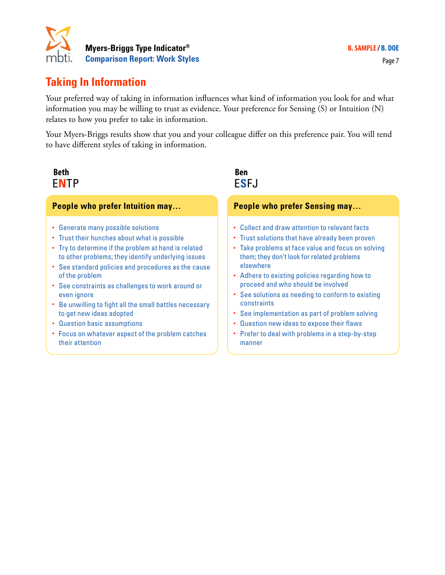

## **Taking In Information**

Your preferred way of taking in information influences what kind of information you look for and what information you may be willing to trust as evidence. Your preference for Sensing (S) or Intuition (N) relates to how you prefer to take in information.

Your Myers-Briggs results show that you and your colleague differ on this preference pair. You will tend to have different styles of taking in information.

## **Beth Ben** E**N**TP E**S**FJ

#### **People who prefer Intuition may…**

- Generate many possible solutions
- Trust their hunches about what is possible
- Try to determine if the problem at hand is related to other problems; they identify underlying issues
- See standard policies and procedures as the cause of the problem
- See constraints as challenges to work around or even ignore
- Be unwilling to fight all the small battles necessary to get new ideas adopted
- Question basic assumptions
- Focus on whatever aspect of the problem catches their attention

## **People who prefer Sensing may…**

- Collect and draw attention to relevant facts
- Trust solutions that have already been proven
- Take problems at face value and focus on solving them; they don't look for related problems elsewhere
- Adhere to existing policies regarding how to proceed and who should be involved
- See solutions as needing to conform to existing constraints
- See implementation as part of problem solving
- Question new ideas to expose their flaws
- Prefer to deal with problems in a step-by-step manner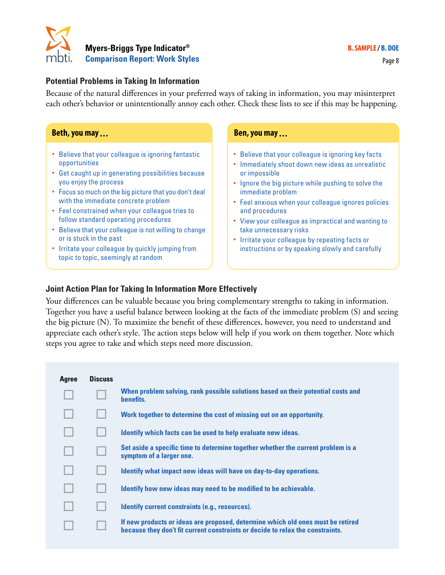

#### **Potential Problems in Taking In Information**

Because of the natural differences in your preferred ways of taking in information, you may misinterpret each other's behavior or unintentionally annoy each other. Check these lists to see if this may be happening.

#### **Beth, you may ... Ben, you may ...**

- Believe that your colleague is ignoring fantastic opportunities
- Get caught up in generating possibilities because you enjoy the process
- Focus so much on the big picture that you don't deal with the immediate concrete problem
- Feel constrained when your colleague tries to follow standard operating procedures
- Believe that your colleague is not willing to change or is stuck in the past
- Irritate your colleague by quickly jumping from topic to topic, seemingly at random

- Believe that your colleague is ignoring key facts
- Immediately shoot down new ideas as unrealistic or impossible
- Ignore the big picture while pushing to solve the immediate problem
- Feel anxious when your colleague ignores policies and procedures
- View your colleague as impractical and wanting to take unnecessary risks
- Irritate your colleague by repeating facts or instructions or by speaking slowly and carefully

#### **Joint Action Plan for Taking In Information More Effectively**

Your differences can be valuable because you bring complementary strengths to taking in information. Together you have a useful balance between looking at the facts of the immediate problem (S) and seeing the big picture (N). To maximize the benefit of these differences, however, you need to understand and appreciate each other's style. The action steps below will help if you work on them together. Note which steps you agree to take and which steps need more discussion.

| Agree | <b>Discuss</b> |                                                                                                                                                                   |
|-------|----------------|-------------------------------------------------------------------------------------------------------------------------------------------------------------------|
|       |                | When problem solving, rank possible solutions based on their potential costs and<br>benefits.                                                                     |
|       |                | Work together to determine the cost of missing out on an opportunity.                                                                                             |
|       |                | Identify which facts can be used to help evaluate new ideas.                                                                                                      |
|       |                | Set aside a specific time to determine together whether the current problem is a<br>symptom of a larger one.                                                      |
|       |                | Identify what impact new ideas will have on day-to-day operations.                                                                                                |
|       |                | Identify how new ideas may need to be modified to be achievable.                                                                                                  |
|       |                | Identify current constraints (e.g., resources).                                                                                                                   |
|       |                | If new products or ideas are proposed, determine which old ones must be retired<br>because they don't fit current constraints or decide to relax the constraints. |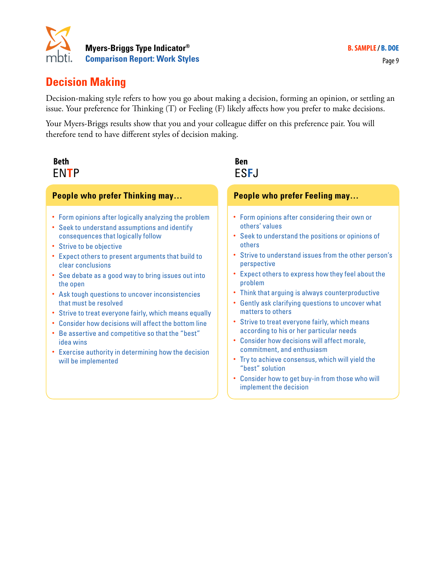

## **Decision Making**

Decision-making style refers to how you go about making a decision, forming an opinion, or settling an issue. Your preference for Thinking (T) or Feeling (F) likely affects how you prefer to make decisions.

Your Myers-Briggs results show that you and your colleague differ on this preference pair. You will therefore tend to have different styles of decision making.

| <b>Beth</b><br><b>ENTP</b>                                                                                                                                                                                                                                                                                                                                                                                                                                                                                                                                                                                                                                                                   | <b>Ben</b><br><b>ESFJ</b>                                                                                                                                                                                                                                                                                                                                                                                                                                                                                                                                                                                                                                                                                                                                    |
|----------------------------------------------------------------------------------------------------------------------------------------------------------------------------------------------------------------------------------------------------------------------------------------------------------------------------------------------------------------------------------------------------------------------------------------------------------------------------------------------------------------------------------------------------------------------------------------------------------------------------------------------------------------------------------------------|--------------------------------------------------------------------------------------------------------------------------------------------------------------------------------------------------------------------------------------------------------------------------------------------------------------------------------------------------------------------------------------------------------------------------------------------------------------------------------------------------------------------------------------------------------------------------------------------------------------------------------------------------------------------------------------------------------------------------------------------------------------|
| <b>People who prefer Thinking may</b>                                                                                                                                                                                                                                                                                                                                                                                                                                                                                                                                                                                                                                                        | <b>People who prefer Feeling may</b>                                                                                                                                                                                                                                                                                                                                                                                                                                                                                                                                                                                                                                                                                                                         |
| • Form opinions after logically analyzing the problem<br>• Seek to understand assumptions and identify<br>consequences that logically follow<br>• Strive to be objective<br>Expect others to present arguments that build to<br>$\bullet$<br>clear conclusions<br>• See debate as a good way to bring issues out into<br>the open<br>• Ask tough questions to uncover inconsistencies<br>that must be resolved<br>• Strive to treat everyone fairly, which means equally<br>• Consider how decisions will affect the bottom line<br>Be assertive and competitive so that the "best"<br>$\bullet$<br>idea wins<br>• Exercise authority in determining how the decision<br>will be implemented | Form opinions after considering their own or<br>٠<br>others' values<br>Seek to understand the positions or opinions of<br>$\bullet$<br>others<br>Strive to understand issues from the other person's<br>perspective<br>Expect others to express how they feel about the<br>problem<br>Think that arguing is always counterproductive<br>٠<br>Gently ask clarifying questions to uncover what<br>$\bullet$<br>matters to others<br>Strive to treat everyone fairly, which means<br>according to his or her particular needs<br>Consider how decisions will affect morale,<br>commitment, and enthusiasm<br>Try to achieve consensus, which will yield the<br>٠<br>"best" solution<br>Consider how to get buy-in from those who will<br>implement the decision |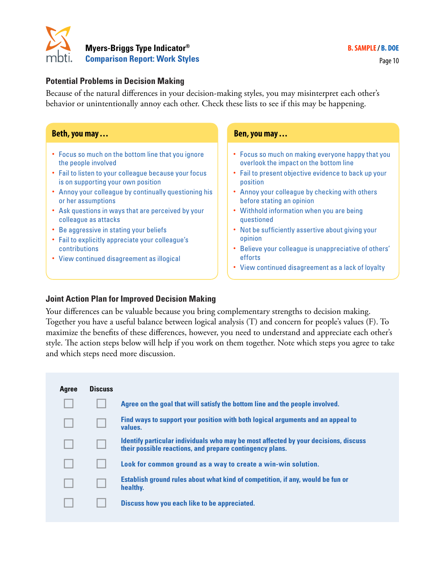

#### **Potential Problems in Decision Making**

Because of the natural differences in your decision-making styles, you may misinterpret each other's behavior or unintentionally annoy each other. Check these lists to see if this may be happening.

#### • Focus so much on the bottom line that you ignore the people involved • Fail to listen to your colleague because your focus is on supporting your own position • Annoy your colleague by continually questioning his or her assumptions • Ask questions in ways that are perceived by your colleague as attacks • Be aggressive in stating your beliefs • Fail to explicitly appreciate your colleague's contributions • View continued disagreement as illogical • Focus so much on making everyone happy that you overlook the impact on the bottom line • Fail to present objective evidence to back up your position • Annoy your colleague by checking with others before stating an opinion • Withhold information when you are being questioned • Not be sufficiently assertive about giving your opinion • Believe your colleague is unappreciative of others' efforts • View continued disagreement as a lack of loyalty **Beth, you may ... Ben, you may ...**

#### **Joint Action Plan for Improved Decision Making**

Your differences can be valuable because you bring complementary strengths to decision making. Together you have a useful balance between logical analysis (T) and concern for people's values (F). To maximize the benefits of these differences, however, you need to understand and appreciate each other's style. The action steps below will help if you work on them together. Note which steps you agree to take and which steps need more discussion.

| Agree | <b>Discuss</b> |                                                                                                                                                        |
|-------|----------------|--------------------------------------------------------------------------------------------------------------------------------------------------------|
|       |                | Agree on the goal that will satisfy the bottom line and the people involved.                                                                           |
|       |                | Find ways to support your position with both logical arguments and an appeal to<br>values.                                                             |
|       |                | <b>Identify particular individuals who may be most affected by your decisions, discuss</b><br>their possible reactions, and prepare contingency plans. |
|       |                | Look for common ground as a way to create a win-win solution.                                                                                          |
|       |                | Establish ground rules about what kind of competition, if any, would be fun or<br>healthy.                                                             |
|       |                | Discuss how you each like to be appreciated.                                                                                                           |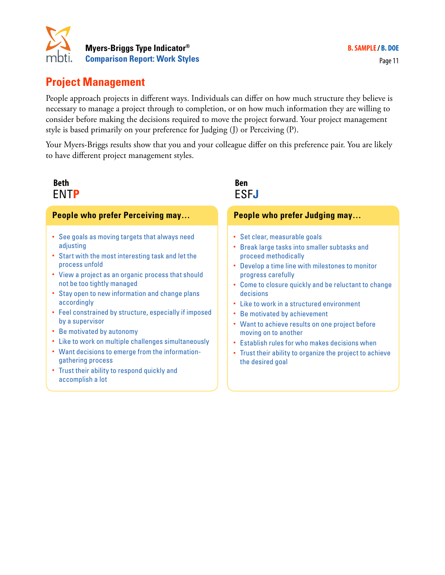

## **Project Management**

People approach projects in different ways. Individuals can differ on how much structure they believe is necessary to manage a project through to completion, or on how much information they are willing to consider before making the decisions required to move the project forward. Your project management style is based primarily on your preference for Judging (J) or Perceiving (P).

Your Myers-Briggs results show that you and your colleague differ on this preference pair. You are likely to have different project management styles.

### **Beth Ben** ENT**P** ESF**J**

# **People who prefer Perceiving may…**

- See goals as moving targets that always need adjusting
- Start with the most interesting task and let the process unfold
- View a project as an organic process that should not be too tightly managed
- Stay open to new information and change plans accordingly
- Feel constrained by structure, especially if imposed by a supervisor
- Be motivated by autonomy
- Like to work on multiple challenges simultaneously
- Want decisions to emerge from the informationgathering process
- Trust their ability to respond quickly and accomplish a lot

#### **People who prefer Judging may…**

- Set clear, measurable goals
- Break large tasks into smaller subtasks and proceed methodically
- Develop a time line with milestones to monitor progress carefully
- Come to closure quickly and be reluctant to change decisions
- Like to work in a structured environment
- Be motivated by achievement
- Want to achieve results on one project before moving on to another
- Establish rules for who makes decisions when
- Trust their ability to organize the project to achieve the desired goal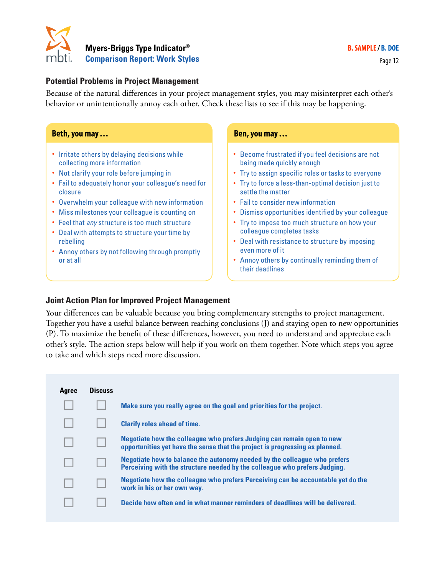

#### **Potential Problems in Project Management**

Because of the natural differences in your project management styles, you may misinterpret each other's behavior or unintentionally annoy each other. Check these lists to see if this may be happening.

#### **Beth, you may ... Ben, you may ...**

- Irritate others by delaying decisions while collecting more information
- Not clarify your role before jumping in
- Fail to adequately honor your colleague's need for closure
- Overwhelm your colleague with new information
- Miss milestones your colleague is counting on
- Feel that *any* structure is too much structure
- Deal with attempts to structure your time by rebelling
- Annoy others by not following through promptly or at all

- Become frustrated if you feel decisions are not being made quickly enough
- Try to assign specific roles or tasks to everyone
- Try to force a less-than-optimal decision just to settle the matter
- Fail to consider new information
- Dismiss opportunities identified by your colleague
- Try to impose too much structure on how your colleague completes tasks
- Deal with resistance to structure by imposing even more of it
- Annoy others by continually reminding them of their deadlines

#### **Joint Action Plan for Improved Project Management**

Your differences can be valuable because you bring complementary strengths to project management. Together you have a useful balance between reaching conclusions (J) and staying open to new opportunities (P). To maximize the benefit of these differences, however, you need to understand and appreciate each other's style. The action steps below will help if you work on them together. Note which steps you agree to take and which steps need more discussion.

| Agree | <b>Discuss</b> |                                                                                                                                                         |
|-------|----------------|---------------------------------------------------------------------------------------------------------------------------------------------------------|
|       |                | Make sure you really agree on the goal and priorities for the project.                                                                                  |
|       |                | <b>Clarify roles ahead of time.</b>                                                                                                                     |
|       |                | Negotiate how the colleague who prefers Judging can remain open to new<br>opportunities yet have the sense that the project is progressing as planned.  |
|       |                | Negotiate how to balance the autonomy needed by the colleague who prefers<br>Perceiving with the structure needed by the colleague who prefers Judging. |
|       |                | Negotiate how the colleague who prefers Perceiving can be accountable yet do the<br>work in his or her own way.                                         |
|       |                | Decide how often and in what manner reminders of deadlines will be delivered.                                                                           |